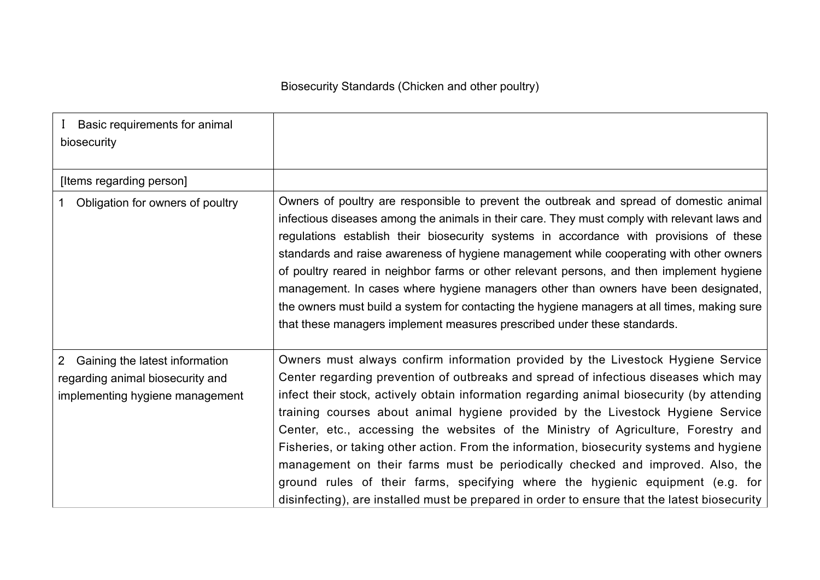| Basic requirements for animal<br>biosecurity                                                                            |                                                                                                                                                                                                                                                                                                                                                                                                                                                                                                                                                                                                                                                                                                                                                                                                                |
|-------------------------------------------------------------------------------------------------------------------------|----------------------------------------------------------------------------------------------------------------------------------------------------------------------------------------------------------------------------------------------------------------------------------------------------------------------------------------------------------------------------------------------------------------------------------------------------------------------------------------------------------------------------------------------------------------------------------------------------------------------------------------------------------------------------------------------------------------------------------------------------------------------------------------------------------------|
| [Items regarding person]                                                                                                |                                                                                                                                                                                                                                                                                                                                                                                                                                                                                                                                                                                                                                                                                                                                                                                                                |
| Obligation for owners of poultry                                                                                        | Owners of poultry are responsible to prevent the outbreak and spread of domestic animal<br>infectious diseases among the animals in their care. They must comply with relevant laws and<br>regulations establish their biosecurity systems in accordance with provisions of these<br>standards and raise awareness of hygiene management while cooperating with other owners<br>of poultry reared in neighbor farms or other relevant persons, and then implement hygiene<br>management. In cases where hygiene managers other than owners have been designated,<br>the owners must build a system for contacting the hygiene managers at all times, making sure<br>that these managers implement measures prescribed under these standards.                                                                   |
| Gaining the latest information<br>$\overline{2}$<br>regarding animal biosecurity and<br>implementing hygiene management | Owners must always confirm information provided by the Livestock Hygiene Service<br>Center regarding prevention of outbreaks and spread of infectious diseases which may<br>infect their stock, actively obtain information regarding animal biosecurity (by attending<br>training courses about animal hygiene provided by the Livestock Hygiene Service<br>Center, etc., accessing the websites of the Ministry of Agriculture, Forestry and<br>Fisheries, or taking other action. From the information, biosecurity systems and hygiene<br>management on their farms must be periodically checked and improved. Also, the<br>ground rules of their farms, specifying where the hygienic equipment (e.g. for<br>disinfecting), are installed must be prepared in order to ensure that the latest biosecurity |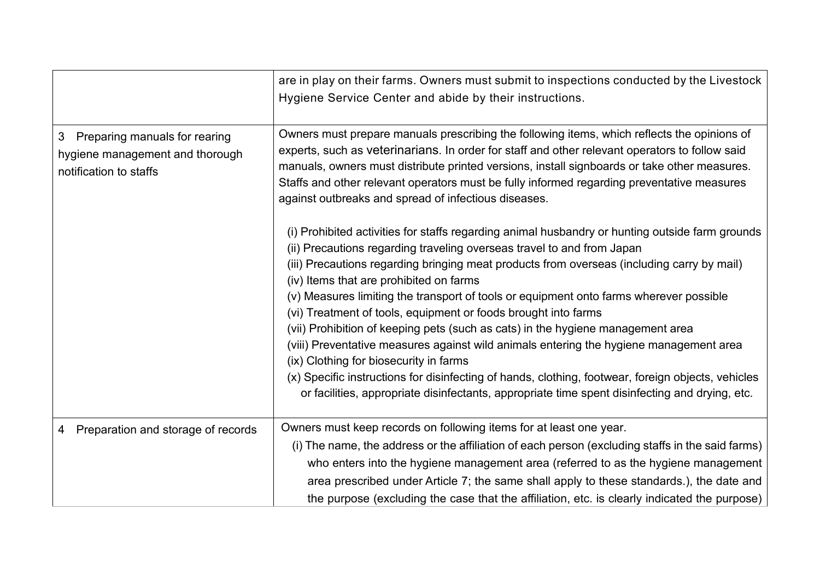|                                                                                                 | are in play on their farms. Owners must submit to inspections conducted by the Livestock<br>Hygiene Service Center and abide by their instructions.                                                                                                                                                                                                                                                                                                                                                                                                                                                                                                                                                                                                                                                                                                                                                           |
|-------------------------------------------------------------------------------------------------|---------------------------------------------------------------------------------------------------------------------------------------------------------------------------------------------------------------------------------------------------------------------------------------------------------------------------------------------------------------------------------------------------------------------------------------------------------------------------------------------------------------------------------------------------------------------------------------------------------------------------------------------------------------------------------------------------------------------------------------------------------------------------------------------------------------------------------------------------------------------------------------------------------------|
| Preparing manuals for rearing<br>3<br>hygiene management and thorough<br>notification to staffs | Owners must prepare manuals prescribing the following items, which reflects the opinions of<br>experts, such as veterinarians. In order for staff and other relevant operators to follow said<br>manuals, owners must distribute printed versions, install signboards or take other measures.<br>Staffs and other relevant operators must be fully informed regarding preventative measures<br>against outbreaks and spread of infectious diseases.                                                                                                                                                                                                                                                                                                                                                                                                                                                           |
|                                                                                                 | (i) Prohibited activities for staffs regarding animal husbandry or hunting outside farm grounds<br>(ii) Precautions regarding traveling overseas travel to and from Japan<br>(iii) Precautions regarding bringing meat products from overseas (including carry by mail)<br>(iv) Items that are prohibited on farms<br>(v) Measures limiting the transport of tools or equipment onto farms wherever possible<br>(vi) Treatment of tools, equipment or foods brought into farms<br>(vii) Prohibition of keeping pets (such as cats) in the hygiene management area<br>(viii) Preventative measures against wild animals entering the hygiene management area<br>(ix) Clothing for biosecurity in farms<br>(x) Specific instructions for disinfecting of hands, clothing, footwear, foreign objects, vehicles<br>or facilities, appropriate disinfectants, appropriate time spent disinfecting and drying, etc. |
| 4 Preparation and storage of records                                                            | Owners must keep records on following items for at least one year.                                                                                                                                                                                                                                                                                                                                                                                                                                                                                                                                                                                                                                                                                                                                                                                                                                            |
|                                                                                                 | (i) The name, the address or the affiliation of each person (excluding staffs in the said farms)<br>who enters into the hygiene management area (referred to as the hygiene management<br>area prescribed under Article 7; the same shall apply to these standards.), the date and<br>the purpose (excluding the case that the affiliation, etc. is clearly indicated the purpose)                                                                                                                                                                                                                                                                                                                                                                                                                                                                                                                            |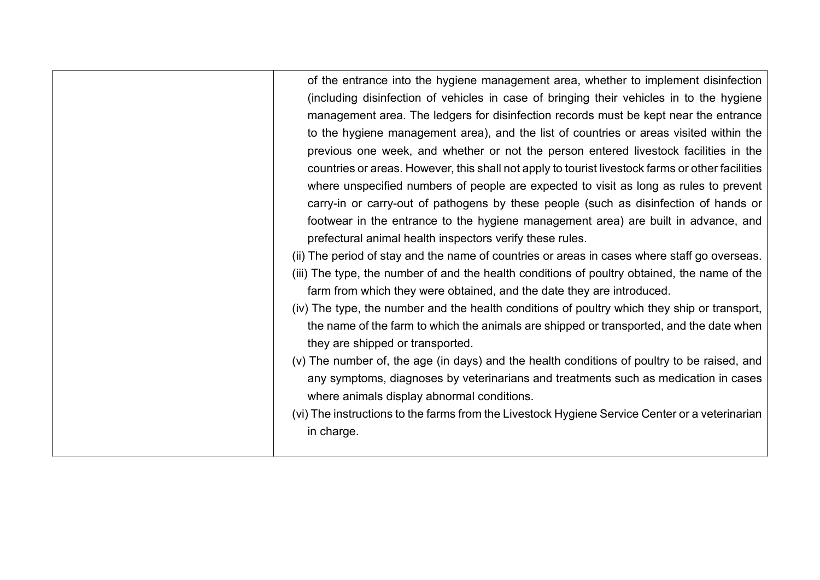| of the entrance into the hygiene management area, whether to implement disinfection              |
|--------------------------------------------------------------------------------------------------|
| (including disinfection of vehicles in case of bringing their vehicles in to the hygiene         |
| management area. The ledgers for disinfection records must be kept near the entrance             |
| to the hygiene management area), and the list of countries or areas visited within the           |
| previous one week, and whether or not the person entered livestock facilities in the             |
| countries or areas. However, this shall not apply to tourist livestock farms or other facilities |
| where unspecified numbers of people are expected to visit as long as rules to prevent            |
| carry-in or carry-out of pathogens by these people (such as disinfection of hands or             |
| footwear in the entrance to the hygiene management area) are built in advance, and               |
| prefectural animal health inspectors verify these rules.                                         |
| (ii) The period of stay and the name of countries or areas in cases where staff go overseas.     |
| (iii) The type, the number of and the health conditions of poultry obtained, the name of the     |
| farm from which they were obtained, and the date they are introduced.                            |
| (iv) The type, the number and the health conditions of poultry which they ship or transport,     |
| the name of the farm to which the animals are shipped or transported, and the date when          |
| they are shipped or transported.                                                                 |
| (v) The number of, the age (in days) and the health conditions of poultry to be raised, and      |
| any symptoms, diagnoses by veterinarians and treatments such as medication in cases              |
| where animals display abnormal conditions.                                                       |
| (vi) The instructions to the farms from the Livestock Hygiene Service Center or a veterinarian   |
| in charge.                                                                                       |
|                                                                                                  |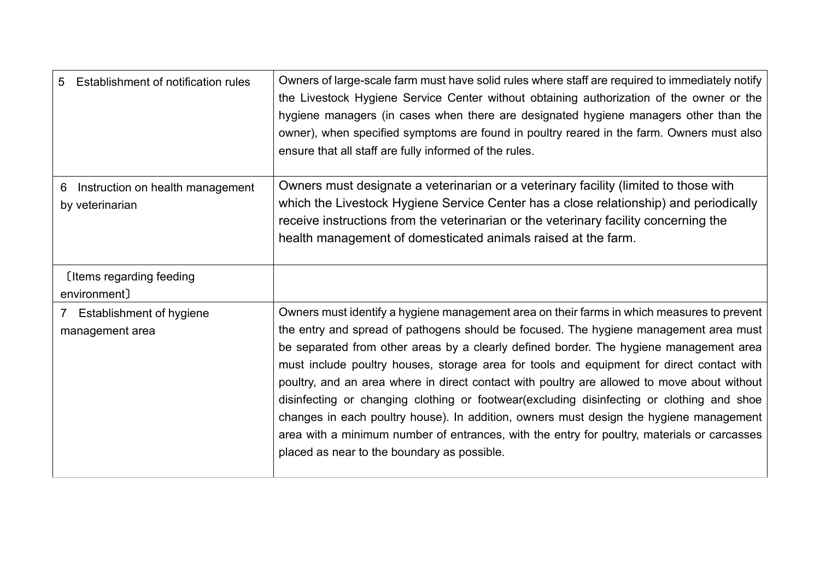| Establishment of notification rules<br>5.                    | Owners of large-scale farm must have solid rules where staff are required to immediately notify<br>the Livestock Hygiene Service Center without obtaining authorization of the owner or the<br>hygiene managers (in cases when there are designated hygiene managers other than the<br>owner), when specified symptoms are found in poultry reared in the farm. Owners must also<br>ensure that all staff are fully informed of the rules.                                                                                                                                                                                                                                                                                                                                                                     |
|--------------------------------------------------------------|----------------------------------------------------------------------------------------------------------------------------------------------------------------------------------------------------------------------------------------------------------------------------------------------------------------------------------------------------------------------------------------------------------------------------------------------------------------------------------------------------------------------------------------------------------------------------------------------------------------------------------------------------------------------------------------------------------------------------------------------------------------------------------------------------------------|
| Instruction on health management<br>6<br>by veterinarian     | Owners must designate a veterinarian or a veterinary facility (limited to those with<br>which the Livestock Hygiene Service Center has a close relationship) and periodically<br>receive instructions from the veterinarian or the veterinary facility concerning the<br>health management of domesticated animals raised at the farm.                                                                                                                                                                                                                                                                                                                                                                                                                                                                         |
| [Items regarding feeding<br>environment]                     |                                                                                                                                                                                                                                                                                                                                                                                                                                                                                                                                                                                                                                                                                                                                                                                                                |
| Establishment of hygiene<br>$\mathcal{I}$<br>management area | Owners must identify a hygiene management area on their farms in which measures to prevent<br>the entry and spread of pathogens should be focused. The hygiene management area must<br>be separated from other areas by a clearly defined border. The hygiene management area<br>must include poultry houses, storage area for tools and equipment for direct contact with<br>poultry, and an area where in direct contact with poultry are allowed to move about without<br>disinfecting or changing clothing or footwear(excluding disinfecting or clothing and shoe<br>changes in each poultry house). In addition, owners must design the hygiene management<br>area with a minimum number of entrances, with the entry for poultry, materials or carcasses<br>placed as near to the boundary as possible. |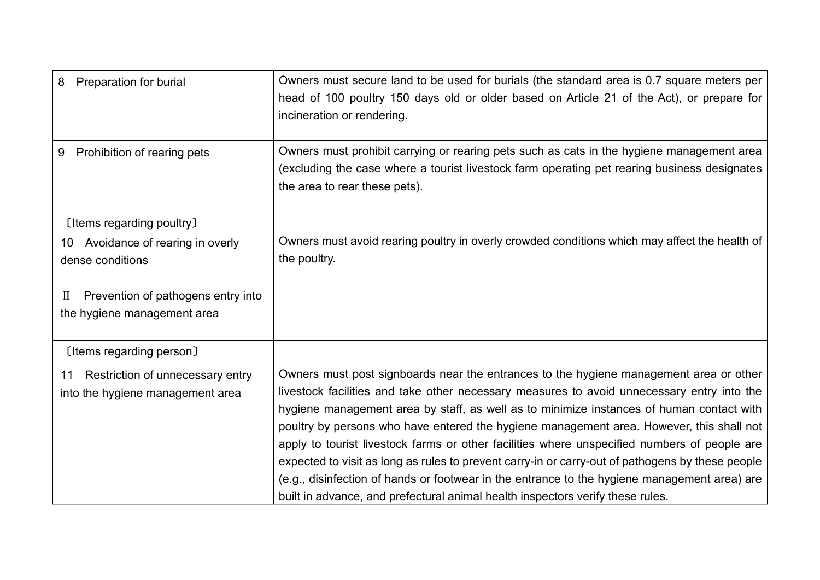| <b>Preparation for burial</b><br>8                                                | Owners must secure land to be used for burials (the standard area is 0.7 square meters per<br>head of 100 poultry 150 days old or older based on Article 21 of the Act), or prepare for<br>incineration or rendering.                                                                                                                                                                                                                                                                                                                                                                                                                                                                                                                                              |
|-----------------------------------------------------------------------------------|--------------------------------------------------------------------------------------------------------------------------------------------------------------------------------------------------------------------------------------------------------------------------------------------------------------------------------------------------------------------------------------------------------------------------------------------------------------------------------------------------------------------------------------------------------------------------------------------------------------------------------------------------------------------------------------------------------------------------------------------------------------------|
| Prohibition of rearing pets<br>9                                                  | Owners must prohibit carrying or rearing pets such as cats in the hygiene management area<br>(excluding the case where a tourist livestock farm operating pet rearing business designates<br>the area to rear these pets).                                                                                                                                                                                                                                                                                                                                                                                                                                                                                                                                         |
| [Items regarding poultry]                                                         |                                                                                                                                                                                                                                                                                                                                                                                                                                                                                                                                                                                                                                                                                                                                                                    |
| 10 Avoidance of rearing in overly<br>dense conditions                             | Owners must avoid rearing poultry in overly crowded conditions which may affect the health of<br>the poultry.                                                                                                                                                                                                                                                                                                                                                                                                                                                                                                                                                                                                                                                      |
| Prevention of pathogens entry into<br>$\mathbb{I}$<br>the hygiene management area |                                                                                                                                                                                                                                                                                                                                                                                                                                                                                                                                                                                                                                                                                                                                                                    |
| [Items regarding person]                                                          |                                                                                                                                                                                                                                                                                                                                                                                                                                                                                                                                                                                                                                                                                                                                                                    |
| 11 Restriction of unnecessary entry<br>into the hygiene management area           | Owners must post signboards near the entrances to the hygiene management area or other<br>livestock facilities and take other necessary measures to avoid unnecessary entry into the<br>hygiene management area by staff, as well as to minimize instances of human contact with<br>poultry by persons who have entered the hygiene management area. However, this shall not<br>apply to tourist livestock farms or other facilities where unspecified numbers of people are<br>expected to visit as long as rules to prevent carry-in or carry-out of pathogens by these people<br>(e.g., disinfection of hands or footwear in the entrance to the hygiene management area) are<br>built in advance, and prefectural animal health inspectors verify these rules. |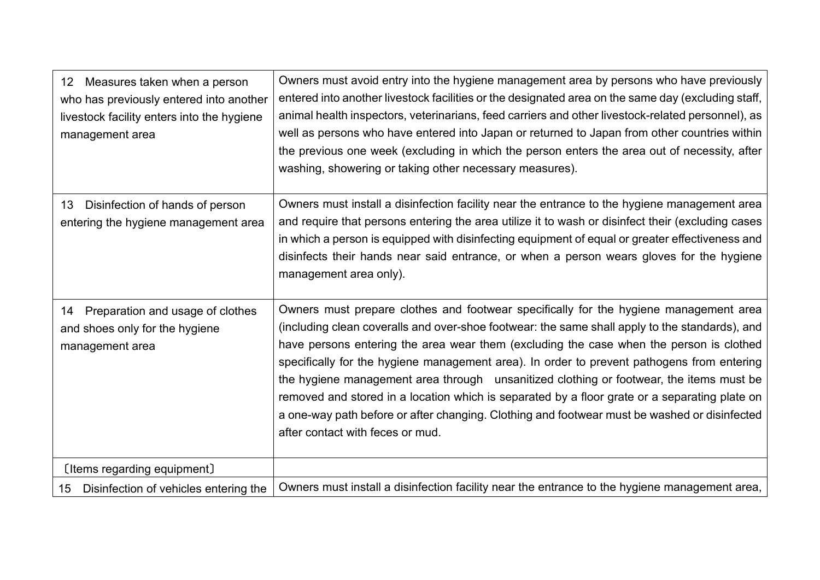| 12 Measures taken when a person<br>who has previously entered into another<br>livestock facility enters into the hygiene<br>management area | Owners must avoid entry into the hygiene management area by persons who have previously<br>entered into another livestock facilities or the designated area on the same day (excluding staff,<br>animal health inspectors, veterinarians, feed carriers and other livestock-related personnel), as<br>well as persons who have entered into Japan or returned to Japan from other countries within<br>the previous one week (excluding in which the person enters the area out of necessity, after<br>washing, showering or taking other necessary measures).                                                                                                                                                    |
|---------------------------------------------------------------------------------------------------------------------------------------------|------------------------------------------------------------------------------------------------------------------------------------------------------------------------------------------------------------------------------------------------------------------------------------------------------------------------------------------------------------------------------------------------------------------------------------------------------------------------------------------------------------------------------------------------------------------------------------------------------------------------------------------------------------------------------------------------------------------|
| Disinfection of hands of person<br>13<br>entering the hygiene management area                                                               | Owners must install a disinfection facility near the entrance to the hygiene management area<br>and require that persons entering the area utilize it to wash or disinfect their (excluding cases<br>in which a person is equipped with disinfecting equipment of equal or greater effectiveness and<br>disinfects their hands near said entrance, or when a person wears gloves for the hygiene<br>management area only).                                                                                                                                                                                                                                                                                       |
| Preparation and usage of clothes<br>14<br>and shoes only for the hygiene<br>management area                                                 | Owners must prepare clothes and footwear specifically for the hygiene management area<br>(including clean coveralls and over-shoe footwear: the same shall apply to the standards), and<br>have persons entering the area wear them (excluding the case when the person is clothed<br>specifically for the hygiene management area). In order to prevent pathogens from entering<br>the hygiene management area through unsanitized clothing or footwear, the items must be<br>removed and stored in a location which is separated by a floor grate or a separating plate on<br>a one-way path before or after changing. Clothing and footwear must be washed or disinfected<br>after contact with feces or mud. |
| [Items regarding equipment]                                                                                                                 |                                                                                                                                                                                                                                                                                                                                                                                                                                                                                                                                                                                                                                                                                                                  |
| Disinfection of vehicles entering the<br>15                                                                                                 | Owners must install a disinfection facility near the entrance to the hygiene management area,                                                                                                                                                                                                                                                                                                                                                                                                                                                                                                                                                                                                                    |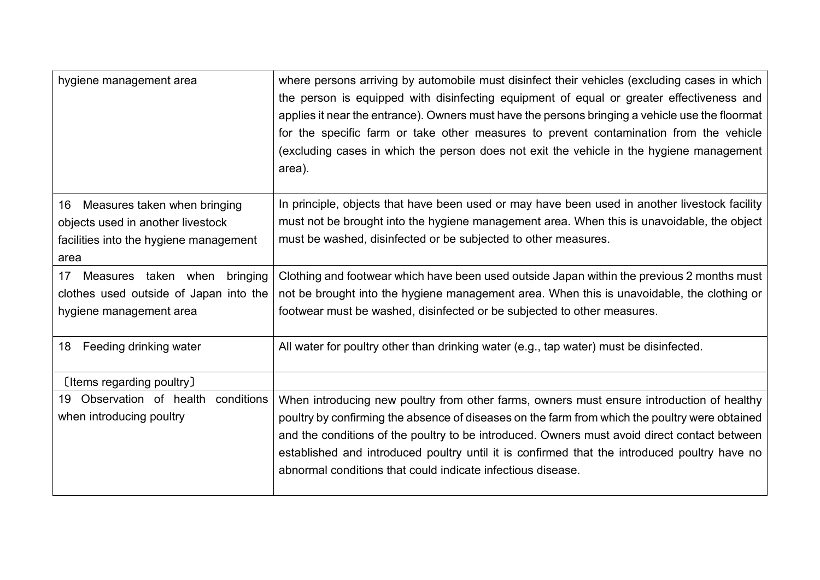| hygiene management area                | where persons arriving by automobile must disinfect their vehicles (excluding cases in which<br>the person is equipped with disinfecting equipment of equal or greater effectiveness and<br>applies it near the entrance). Owners must have the persons bringing a vehicle use the floormat<br>for the specific farm or take other measures to prevent contamination from the vehicle<br>(excluding cases in which the person does not exit the vehicle in the hygiene management<br>area). |
|----------------------------------------|---------------------------------------------------------------------------------------------------------------------------------------------------------------------------------------------------------------------------------------------------------------------------------------------------------------------------------------------------------------------------------------------------------------------------------------------------------------------------------------------|
| Measures taken when bringing<br>16     | In principle, objects that have been used or may have been used in another livestock facility                                                                                                                                                                                                                                                                                                                                                                                               |
| objects used in another livestock      | must not be brought into the hygiene management area. When this is unavoidable, the object                                                                                                                                                                                                                                                                                                                                                                                                  |
| facilities into the hygiene management | must be washed, disinfected or be subjected to other measures.                                                                                                                                                                                                                                                                                                                                                                                                                              |
| area                                   |                                                                                                                                                                                                                                                                                                                                                                                                                                                                                             |
| Measures taken when bringing<br>17     | Clothing and footwear which have been used outside Japan within the previous 2 months must                                                                                                                                                                                                                                                                                                                                                                                                  |
| clothes used outside of Japan into the | not be brought into the hygiene management area. When this is unavoidable, the clothing or                                                                                                                                                                                                                                                                                                                                                                                                  |
| hygiene management area                | footwear must be washed, disinfected or be subjected to other measures.                                                                                                                                                                                                                                                                                                                                                                                                                     |
| Feeding drinking water<br>18           | All water for poultry other than drinking water (e.g., tap water) must be disinfected.                                                                                                                                                                                                                                                                                                                                                                                                      |
| [Items regarding poultry]              |                                                                                                                                                                                                                                                                                                                                                                                                                                                                                             |
| 19 Observation of health<br>conditions | When introducing new poultry from other farms, owners must ensure introduction of healthy                                                                                                                                                                                                                                                                                                                                                                                                   |
| when introducing poultry               | poultry by confirming the absence of diseases on the farm from which the poultry were obtained                                                                                                                                                                                                                                                                                                                                                                                              |
|                                        | and the conditions of the poultry to be introduced. Owners must avoid direct contact between                                                                                                                                                                                                                                                                                                                                                                                                |
|                                        | established and introduced poultry until it is confirmed that the introduced poultry have no                                                                                                                                                                                                                                                                                                                                                                                                |
|                                        | abnormal conditions that could indicate infectious disease.                                                                                                                                                                                                                                                                                                                                                                                                                                 |
|                                        |                                                                                                                                                                                                                                                                                                                                                                                                                                                                                             |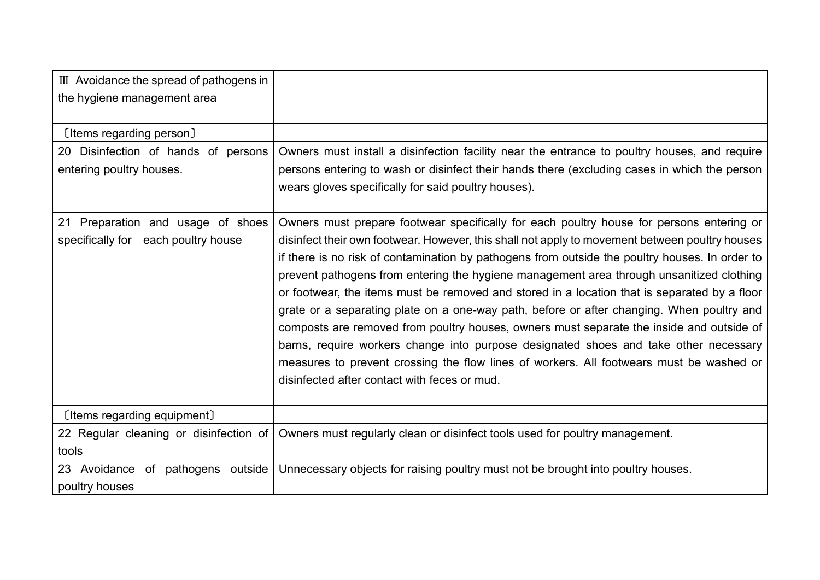| III Avoidance the spread of pathogens in                                 |                                                                                                                                                                                                                                                                                                                                                                                                                                                                                                                                                                                                                                                                                                                                                                                                                                                                                                                      |
|--------------------------------------------------------------------------|----------------------------------------------------------------------------------------------------------------------------------------------------------------------------------------------------------------------------------------------------------------------------------------------------------------------------------------------------------------------------------------------------------------------------------------------------------------------------------------------------------------------------------------------------------------------------------------------------------------------------------------------------------------------------------------------------------------------------------------------------------------------------------------------------------------------------------------------------------------------------------------------------------------------|
| the hygiene management area                                              |                                                                                                                                                                                                                                                                                                                                                                                                                                                                                                                                                                                                                                                                                                                                                                                                                                                                                                                      |
|                                                                          |                                                                                                                                                                                                                                                                                                                                                                                                                                                                                                                                                                                                                                                                                                                                                                                                                                                                                                                      |
| [Items regarding person]                                                 |                                                                                                                                                                                                                                                                                                                                                                                                                                                                                                                                                                                                                                                                                                                                                                                                                                                                                                                      |
| 20 Disinfection of hands of persons                                      | Owners must install a disinfection facility near the entrance to poultry houses, and require                                                                                                                                                                                                                                                                                                                                                                                                                                                                                                                                                                                                                                                                                                                                                                                                                         |
| entering poultry houses.                                                 | persons entering to wash or disinfect their hands there (excluding cases in which the person                                                                                                                                                                                                                                                                                                                                                                                                                                                                                                                                                                                                                                                                                                                                                                                                                         |
|                                                                          | wears gloves specifically for said poultry houses).                                                                                                                                                                                                                                                                                                                                                                                                                                                                                                                                                                                                                                                                                                                                                                                                                                                                  |
| 21 Preparation and usage of shoes<br>specifically for each poultry house | Owners must prepare footwear specifically for each poultry house for persons entering or<br>disinfect their own footwear. However, this shall not apply to movement between poultry houses<br>if there is no risk of contamination by pathogens from outside the poultry houses. In order to<br>prevent pathogens from entering the hygiene management area through unsanitized clothing<br>or footwear, the items must be removed and stored in a location that is separated by a floor<br>grate or a separating plate on a one-way path, before or after changing. When poultry and<br>composts are removed from poultry houses, owners must separate the inside and outside of<br>barns, require workers change into purpose designated shoes and take other necessary<br>measures to prevent crossing the flow lines of workers. All footwears must be washed or<br>disinfected after contact with feces or mud. |
| [Items regarding equipment]                                              |                                                                                                                                                                                                                                                                                                                                                                                                                                                                                                                                                                                                                                                                                                                                                                                                                                                                                                                      |
| 22 Regular cleaning or disinfection of<br>tools                          | Owners must regularly clean or disinfect tools used for poultry management.                                                                                                                                                                                                                                                                                                                                                                                                                                                                                                                                                                                                                                                                                                                                                                                                                                          |
| 23 Avoidance of pathogens outside<br>poultry houses                      | Unnecessary objects for raising poultry must not be brought into poultry houses.                                                                                                                                                                                                                                                                                                                                                                                                                                                                                                                                                                                                                                                                                                                                                                                                                                     |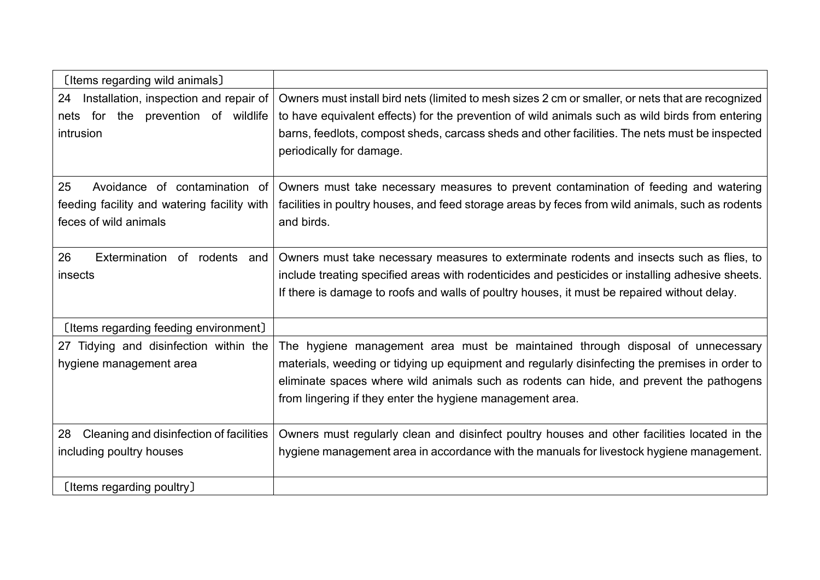| [Items regarding wild animals]                                                                              |                                                                                                                                                                                                                                                                                                                                          |
|-------------------------------------------------------------------------------------------------------------|------------------------------------------------------------------------------------------------------------------------------------------------------------------------------------------------------------------------------------------------------------------------------------------------------------------------------------------|
| 24<br>Installation, inspection and repair of<br>for the prevention of wildlife<br>nets<br>intrusion         | Owners must install bird nets (limited to mesh sizes 2 cm or smaller, or nets that are recognized<br>to have equivalent effects) for the prevention of wild animals such as wild birds from entering<br>barns, feedlots, compost sheds, carcass sheds and other facilities. The nets must be inspected<br>periodically for damage.       |
| 25<br>Avoidance of contamination of<br>feeding facility and watering facility with<br>feces of wild animals | Owners must take necessary measures to prevent contamination of feeding and watering<br>facilities in poultry houses, and feed storage areas by feces from wild animals, such as rodents<br>and birds.                                                                                                                                   |
| 26<br>Extermination of rodents and<br>insects                                                               | Owners must take necessary measures to exterminate rodents and insects such as flies, to<br>include treating specified areas with rodenticides and pesticides or installing adhesive sheets.<br>If there is damage to roofs and walls of poultry houses, it must be repaired without delay.                                              |
| [Items regarding feeding environment]                                                                       |                                                                                                                                                                                                                                                                                                                                          |
| 27 Tidying and disinfection within the<br>hygiene management area                                           | The hygiene management area must be maintained through disposal of unnecessary<br>materials, weeding or tidying up equipment and regularly disinfecting the premises in order to<br>eliminate spaces where wild animals such as rodents can hide, and prevent the pathogens<br>from lingering if they enter the hygiene management area. |
| Cleaning and disinfection of facilities<br>28<br>including poultry houses                                   | Owners must regularly clean and disinfect poultry houses and other facilities located in the<br>hygiene management area in accordance with the manuals for livestock hygiene management.                                                                                                                                                 |
| [Items regarding poultry]                                                                                   |                                                                                                                                                                                                                                                                                                                                          |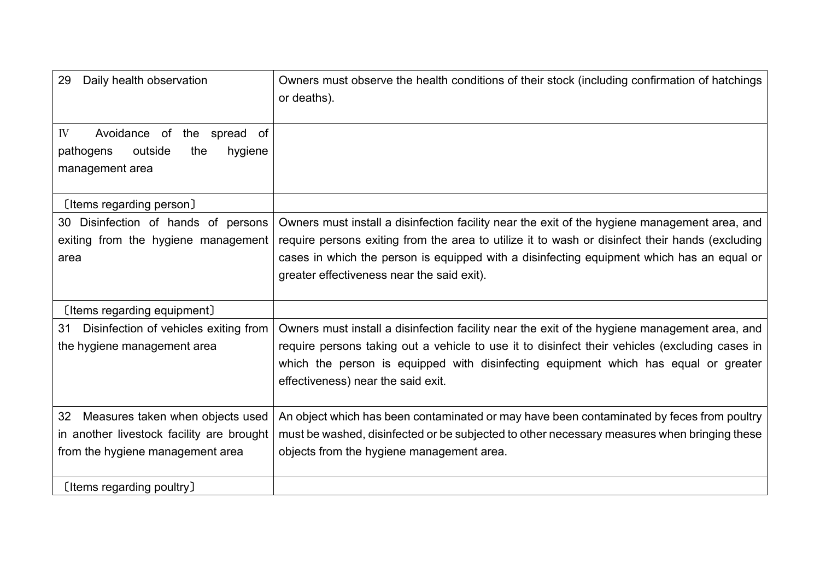| Daily health observation<br>29                                                                                          | Owners must observe the health conditions of their stock (including confirmation of hatchings<br>or deaths).                                                                                                                                                                                                                                |
|-------------------------------------------------------------------------------------------------------------------------|---------------------------------------------------------------------------------------------------------------------------------------------------------------------------------------------------------------------------------------------------------------------------------------------------------------------------------------------|
| Avoidance of the spread of<br>IV<br>outside<br>hygiene<br>pathogens<br>the<br>management area                           |                                                                                                                                                                                                                                                                                                                                             |
| [Items regarding person]                                                                                                |                                                                                                                                                                                                                                                                                                                                             |
| 30 Disinfection of hands of persons<br>exiting from the hygiene management<br>area                                      | Owners must install a disinfection facility near the exit of the hygiene management area, and<br>require persons exiting from the area to utilize it to wash or disinfect their hands (excluding<br>cases in which the person is equipped with a disinfecting equipment which has an equal or<br>greater effectiveness near the said exit). |
| [Items regarding equipment]                                                                                             |                                                                                                                                                                                                                                                                                                                                             |
| Disinfection of vehicles exiting from<br>31<br>the hygiene management area                                              | Owners must install a disinfection facility near the exit of the hygiene management area, and<br>require persons taking out a vehicle to use it to disinfect their vehicles (excluding cases in<br>which the person is equipped with disinfecting equipment which has equal or greater<br>effectiveness) near the said exit.                |
| Measures taken when objects used<br>32<br>in another livestock facility are brought<br>from the hygiene management area | An object which has been contaminated or may have been contaminated by feces from poultry<br>must be washed, disinfected or be subjected to other necessary measures when bringing these<br>objects from the hygiene management area.                                                                                                       |
| [Items regarding poultry]                                                                                               |                                                                                                                                                                                                                                                                                                                                             |